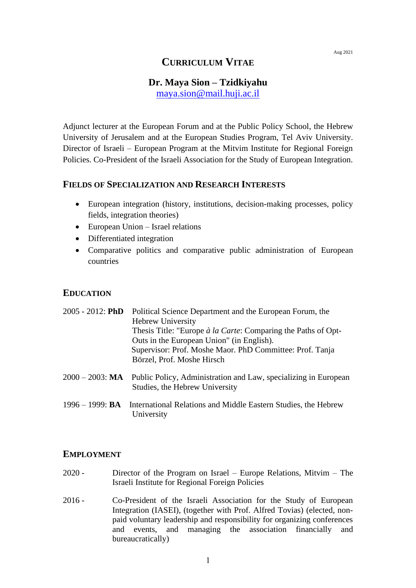# **CURRICULUM VITAE**

# **Dr. Maya Sion – Tzidkiyahu**

[maya.sion@mail.huji.ac.il](mailto:maya.sion@mail.huji.ac.il)

Adjunct lecturer at the European Forum and at the Public Policy School, the Hebrew University of Jerusalem and at the European Studies Program, Tel Aviv University. Director of Israeli – European Program at the Mitvim Institute for Regional Foreign Policies. Co-President of the Israeli Association for the Study of European Integration.

### **FIELDS OF SPECIALIZATION AND RESEARCH INTERESTS**

- European integration (history, institutions, decision-making processes, policy fields, integration theories)
- European Union Israel relations

University

- Differentiated integration
- Comparative politics and comparative public administration of European countries

### **EDUCATION**

| $2005 - 2012$ : PhD | Political Science Department and the European Forum, the<br><b>Hebrew University</b><br>Thesis Title: "Europe à la Carte: Comparing the Paths of Opt-<br>Outs in the European Union" (in English). |
|---------------------|----------------------------------------------------------------------------------------------------------------------------------------------------------------------------------------------------|
|                     | Supervisor: Prof. Moshe Maor. PhD Committee: Prof. Tanja<br>Börzel, Prof. Moshe Hirsch                                                                                                             |
|                     | $2000 - 2003$ : MA Public Policy, Administration and Law, specializing in European<br>Studies, the Hebrew University                                                                               |
|                     | 1996 – 1999: <b>BA</b> International Relations and Middle Eastern Studies, the Hebrew                                                                                                              |

### **EMPLOYMENT**

- 2020 Director of the Program on Israel Europe Relations, Mitvim The Israeli Institute for Regional Foreign Policies
- 2016 Co-President of the Israeli Association for the Study of European Integration (IASEI), (together with Prof. Alfred Tovias) (elected, nonpaid voluntary leadership and responsibility for organizing conferences and events, and managing the association financially and bureaucratically)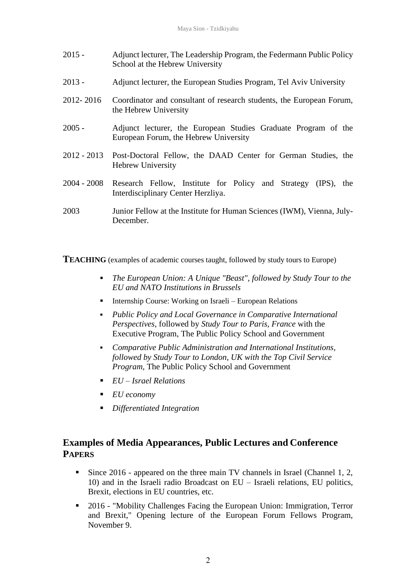| $2015 -$  | Adjunct lecturer, The Leadership Program, the Federmann Public Policy<br>School at the Hebrew University |
|-----------|----------------------------------------------------------------------------------------------------------|
| $2013 -$  | Adjunct lecturer, the European Studies Program, Tel Aviv University                                      |
| 2012-2016 | Coordinator and consultant of research students, the European Forum,<br>the Hebrew University            |

- 2005 Adjunct lecturer, the European Studies Graduate Program of the European Forum, the Hebrew University
- 2012 2013 Post-Doctoral Fellow, the DAAD Center for German Studies, the Hebrew University
- 2004 2008 Research Fellow, Institute for Policy and Strategy (IPS), the Interdisciplinary Center Herzliya.
- 2003 Junior Fellow at the Institute for Human Sciences (IWM), Vienna, July-December.

**TEACHING** (examples of academic courses taught, followed by study tours to Europe)

- *The European Union: A Unique "Beast", followed by Study Tour to the EU and NATO Institutions in Brussels*
- Internship Course: Working on Israeli European Relations
- *Public Policy and Local Governance in Comparative International Perspectives,* followed by *Study Tour to Paris, France* with the Executive Program, The Public Policy School and Government
- *Comparative Public Administration and International Institutions, followed by Study Tour to London, UK with the Top Civil Service Program,* The Public Policy School and Government
- *EU – Israel Relations*
- *EU economy*
- *Differentiated Integration*

# **Examples of Media Appearances, Public Lectures and Conference PAPERS**

- Since  $2016$  appeared on the three main TV channels in Israel (Channel 1, 2, 10) and in the Israeli radio Broadcast on EU – Israeli relations, EU politics, Brexit, elections in EU countries, etc.
- 2016 "Mobility Challenges Facing the European Union: Immigration, Terror and Brexit," Opening lecture of the European Forum Fellows Program, November 9.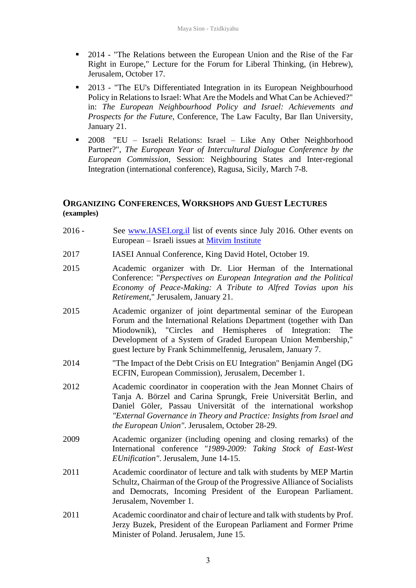- 2014 "The Relations between the European Union and the Rise of the Far Right in Europe," Lecture for the Forum for Liberal Thinking, (in Hebrew), Jerusalem, October 17.
- 2013 "The EU's Differentiated Integration in its European Neighbourhood Policy in Relations to Israel: What Are the Models and What Can be Achieved?" in: *The European Neighbourhood Policy and Israel: Achievements and Prospects for the Future,* Conference, The Law Faculty, Bar Ilan University, January 21.
- 2008 "EU Israeli Relations: Israel Like Any Other Neighborhood Partner?", *The European Year of Intercultural Dialogue Conference by the European Commission*, Session: Neighbouring States and Inter-regional Integration (international conference), Ragusa, Sicily, March 7-8.

## **ORGANIZING CONFERENCES, WORKSHOPS AND GUEST LECTURES (examples)**

- 2016 See [www.IASEI.org.il](http://www.iasei.org.il/) list of events since July 2016. Other events on European – Israeli issues at [Mitvim Institute](https://mitvim.org.il/en/event_cat/all-events/)
- 2017 IASEI Annual Conference, King David Hotel, October 19.
- 2015 Academic organizer with Dr. Lior Herman of the International Conference: "*Perspectives on European Integration and the Political Economy of Peace-Making: A Tribute to Alfred Tovias upon his Retirement*," Jerusalem, January 21.
- 2015 Academic organizer of joint departmental seminar of the European Forum and the International Relations Department (together with Dan Miodownik), "Circles and Hemispheres of Integration: The Development of a System of Graded European Union Membership," guest lecture by Frank Schimmelfennig, Jerusalem, January 7.
- 2014 "The Impact of the Debt Crisis on EU Integration" Benjamin Angel (DG ECFIN, European Commission), Jerusalem, December 1.
- 2012 Academic coordinator in cooperation with the Jean Monnet Chairs of Tanja A. Börzel and Carina Sprungk, Freie Universität Berlin, and Daniel Göler, Passau Universität of the international workshop *"External Governance in Theory and Practice: Insights from Israel and the European Union"*. Jerusalem, October 28-29.
- 2009 Academic organizer (including opening and closing remarks) of the International conference *"1989-2009: Taking Stock of East-West EUnification"*. Jerusalem, June 14-15.
- 2011 Academic coordinator of lecture and talk with students by MEP Martin Schultz, Chairman of the Group of the Progressive Alliance of Socialists and Democrats, Incoming President of the European Parliament. Jerusalem, November 1.
- 2011 Academic coordinator and chair of lecture and talk with students by Prof. Jerzy Buzek, President of the European Parliament and Former Prime Minister of Poland. Jerusalem, June 15.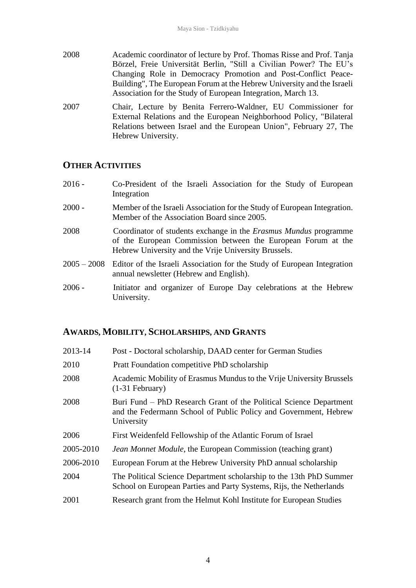- 2008 Academic coordinator of lecture by Prof. Thomas Risse and Prof. Tanja Börzel, Freie Universität Berlin, "Still a Civilian Power? The EU's Changing Role in Democracy Promotion and Post-Conflict Peace-Building", The European Forum at the Hebrew University and the Israeli Association for the Study of European Integration, March 13.
- 2007 Chair, Lecture by Benita Ferrero-Waldner, EU Commissioner for External Relations and the European Neighborhood Policy, "Bilateral Relations between Israel and the European Union", February 27, The Hebrew University.

### **OTHER ACTIVITIES**

- 2016 Co-President of the Israeli Association for the Study of European Integration
- 2000 Member of the Israeli Association for the Study of European Integration. Member of the Association Board since 2005.
- 2008 Coordinator of students exchange in the *Erasmus Mundus* programme of the European Commission between the European Forum at the Hebrew University and the Vrije University Brussels.
- 2005 2008 Editor of the Israeli Association for the Study of European Integration annual newsletter (Hebrew and English).
- 2006 Initiator and organizer of Europe Day celebrations at the Hebrew University.

#### **AWARDS, MOBILITY, SCHOLARSHIPS, AND GRANTS**

| 2013-14   | Post - Doctoral scholarship, DAAD center for German Studies                                                                                          |
|-----------|------------------------------------------------------------------------------------------------------------------------------------------------------|
| 2010      | Pratt Foundation competitive PhD scholarship                                                                                                         |
| 2008      | Academic Mobility of Erasmus Mundus to the Vrije University Brussels<br>$(1-31)$ February)                                                           |
| 2008      | Buri Fund – PhD Research Grant of the Political Science Department<br>and the Federmann School of Public Policy and Government, Hebrew<br>University |
| 2006      | First Weidenfeld Fellowship of the Atlantic Forum of Israel                                                                                          |
| 2005-2010 | <i>Jean Monnet Module</i> , the European Commission (teaching grant)                                                                                 |
| 2006-2010 | European Forum at the Hebrew University PhD annual scholarship                                                                                       |
| 2004      | The Political Science Department scholarship to the 13th PhD Summer<br>School on European Parties and Party Systems, Rijs, the Netherlands           |
| 2001      | Research grant from the Helmut Kohl Institute for European Studies                                                                                   |